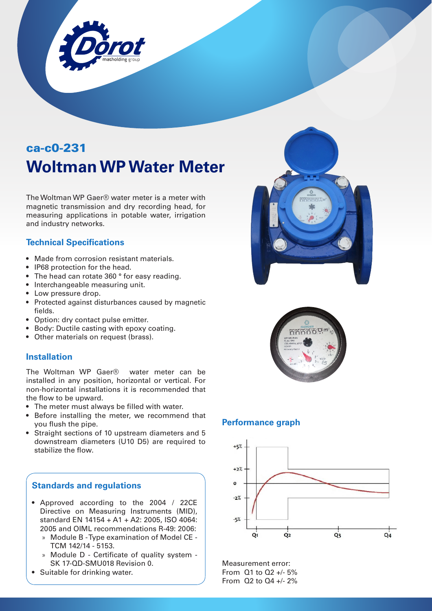

# ca-c0-231 **Woltman WP Water Meter**

The Woltman WP Gaer® water meter is a meter with magnetic transmission and dry recording head, for measuring applications in potable water, irrigation and industry networks.

### **Technical Specifications**

- Made from corrosion resistant materials.
- IP68 protection for the head.
- The head can rotate 360 ° for easy reading.
- Interchangeable measuring unit.
- Low pressure drop.
- Protected against disturbances caused by magnetic fields.
- Option: dry contact pulse emitter.
- Body: Ductile casting with epoxy coating.
- Other materials on request (brass).

#### **Installation**

The Woltman WP Gaer® water meter can be installed in any position, horizontal or vertical. For non-horizontal installations it is recommended that the flow to be upward.

- The meter must always be filled with water.
- Before installing the meter, we recommend that you flush the pipe.
- Straight sections of 10 upstream diameters and 5 downstream diameters (U10 D5) are required to stabilize the flow.





### **Performance graph**



» Module B - Type examination of Model CE - TCM 142/14 - 5153.

• Approved according to the 2004 / 22CE Directive on Measuring Instruments (MID), standard EN 14154 + A1 + A2: 2005, ISO 4064: 2005 and OIML recommendations R-49: 2006:

- » Module D Certificate of quality system SK 17-QD-SMU018 Revision 0.
- Suitable for drinking water.

**Standards and regulations**

Measurement error: From Q1 to Q2 +/- 5% From Q2 to Q4 +/- 2%